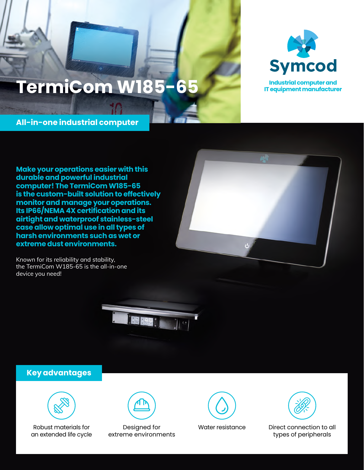# **TermiCom W185-65**



**Industrial computer and IT equipment manufacturer**

**All-in-one industrial computer**

**Make your operations easier with this durable and powerful industrial computer! The TermiCom W185-65 is the custom-built solution to effectively monitor and manage your operations. Its IP66/NEMA 4X certification and its airtight and waterproof stainless-steel case allow optimal use in all types of harsh environments such as wet or extreme dust environments.**

Known for its reliability and stability, the TermiCom W185-65 is the all-in-one device you need!





### **Key advantages**



Robust materials for an extended life cycle



Designed for extreme environments



Water resistance Direct connection to all types of peripherals